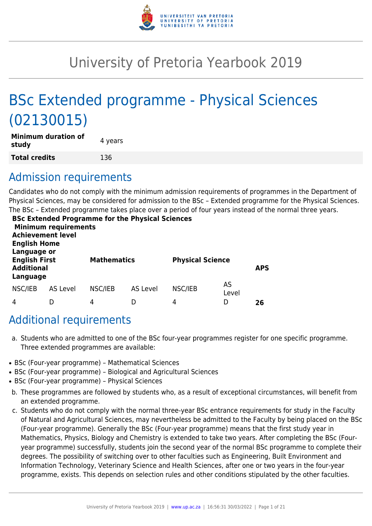

# University of Pretoria Yearbook 2019

# BSc Extended programme - Physical Sciences (02130015)

| <b>Minimum duration of</b><br>study | 4 years |
|-------------------------------------|---------|
| <b>Total credits</b>                | 136     |

# Admission requirements

Candidates who do not comply with the minimum admission requirements of programmes in the Department of Physical Sciences, may be considered for admission to the BSc – Extended programme for the Physical Sciences. The BSc – Extended programme takes place over a period of four years instead of the normal three years.

| <b>English Home</b>                                                  | <b>Minimum requirements</b><br><b>Achievement level</b> |                    | <b>BSc Extended Programme for the Physical Sciences</b> |                         |             |            |
|----------------------------------------------------------------------|---------------------------------------------------------|--------------------|---------------------------------------------------------|-------------------------|-------------|------------|
| Language or<br><b>English First</b><br><b>Additional</b><br>Language |                                                         | <b>Mathematics</b> |                                                         | <b>Physical Science</b> |             | <b>APS</b> |
| NSC/IEB                                                              | <b>AS Level</b>                                         | NSC/IEB            | <b>AS Level</b>                                         | NSC/IEB                 | AS<br>Level |            |
| 4                                                                    |                                                         | 4                  | D                                                       | 4                       | D           | 26         |

# Additional requirements

- a. Students who are admitted to one of the BSc four-year programmes register for one specific programme. Three extended programmes are available:
- BSc (Four-year programme) Mathematical Sciences
- BSc (Four-year programme) Biological and Agricultural Sciences
- BSc (Four-year programme) Physical Sciences
- b. These programmes are followed by students who, as a result of exceptional circumstances, will benefit from an extended programme.
- c. Students who do not comply with the normal three-year BSc entrance requirements for study in the Faculty of Natural and Agricultural Sciences, may nevertheless be admitted to the Faculty by being placed on the BSc (Four-year programme). Generally the BSc (Four-year programme) means that the first study year in Mathematics, Physics, Biology and Chemistry is extended to take two years. After completing the BSc (Fouryear programme) successfully, students join the second year of the normal BSc programme to complete their degrees. The possibility of switching over to other faculties such as Engineering, Built Environment and Information Technology, Veterinary Science and Health Sciences, after one or two years in the four-year programme, exists. This depends on selection rules and other conditions stipulated by the other faculties.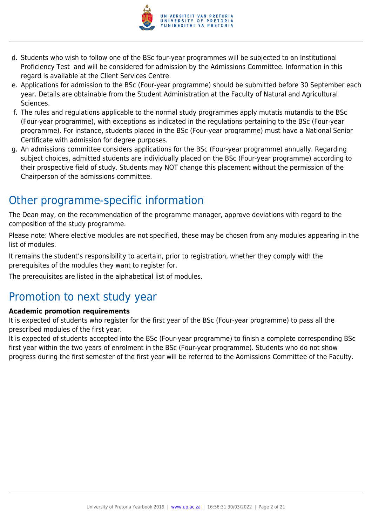

- d. Students who wish to follow one of the BSc four-year programmes will be subjected to an Institutional Proficiency Test and will be considered for admission by the Admissions Committee. Information in this regard is available at the Client Services Centre.
- e. Applications for admission to the BSc (Four-year programme) should be submitted before 30 September each year. Details are obtainable from the Student Administration at the Faculty of Natural and Agricultural Sciences.
- f. The rules and regulations applicable to the normal study programmes apply mutatis mutandis to the BSc (Four-year programme), with exceptions as indicated in the regulations pertaining to the BSc (Four-year programme). For instance, students placed in the BSc (Four-year programme) must have a National Senior Certificate with admission for degree purposes.
- g. An admissions committee considers applications for the BSc (Four-year programme) annually. Regarding subject choices, admitted students are individually placed on the BSc (Four-year programme) according to their prospective field of study. Students may NOT change this placement without the permission of the Chairperson of the admissions committee.

# Other programme-specific information

The Dean may, on the recommendation of the programme manager, approve deviations with regard to the composition of the study programme.

Please note: Where elective modules are not specified, these may be chosen from any modules appearing in the list of modules.

It remains the student's responsibility to acertain, prior to registration, whether they comply with the prerequisites of the modules they want to register for.

The prerequisites are listed in the alphabetical list of modules.

# Promotion to next study year

# **Academic promotion requirements**

It is expected of students who register for the first year of the BSc (Four-year programme) to pass all the prescribed modules of the first year.

It is expected of students accepted into the BSc (Four-year programme) to finish a complete corresponding BSc first year within the two years of enrolment in the BSc (Four-year programme). Students who do not show progress during the first semester of the first year will be referred to the Admissions Committee of the Faculty.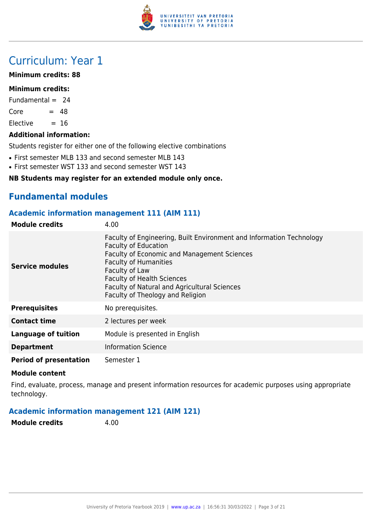

# Curriculum: Year 1

#### **Minimum credits: 88**

#### **Minimum credits:**

Fundamental  $= 24$ 

 $Core = 48$ 

 $F$ lective  $= 16$ 

#### **Additional information:**

Students register for either one of the following elective combinations

- First semester MLB 133 and second semester MLB 143
- First semester WST 133 and second semester WST 143

#### **NB Students may register for an extended module only once.**

# **Fundamental modules**

### **Academic information management 111 (AIM 111)**

| <b>Module credits</b>         | 4.00                                                                                                                                                                                                                                                                                                                          |
|-------------------------------|-------------------------------------------------------------------------------------------------------------------------------------------------------------------------------------------------------------------------------------------------------------------------------------------------------------------------------|
| <b>Service modules</b>        | Faculty of Engineering, Built Environment and Information Technology<br><b>Faculty of Education</b><br>Faculty of Economic and Management Sciences<br><b>Faculty of Humanities</b><br>Faculty of Law<br><b>Faculty of Health Sciences</b><br>Faculty of Natural and Agricultural Sciences<br>Faculty of Theology and Religion |
| <b>Prerequisites</b>          | No prerequisites.                                                                                                                                                                                                                                                                                                             |
| <b>Contact time</b>           | 2 lectures per week                                                                                                                                                                                                                                                                                                           |
| Language of tuition           | Module is presented in English                                                                                                                                                                                                                                                                                                |
| <b>Department</b>             | <b>Information Science</b>                                                                                                                                                                                                                                                                                                    |
| <b>Period of presentation</b> | Semester 1                                                                                                                                                                                                                                                                                                                    |

#### **Module content**

Find, evaluate, process, manage and present information resources for academic purposes using appropriate technology.

# **Academic information management 121 (AIM 121)**

**Module credits** 4.00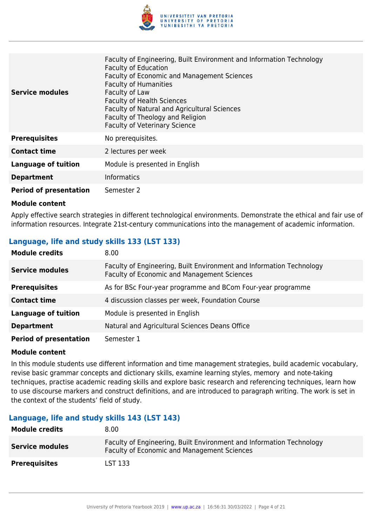

| <b>Service modules</b>        | Faculty of Engineering, Built Environment and Information Technology<br><b>Faculty of Education</b><br><b>Faculty of Economic and Management Sciences</b><br><b>Faculty of Humanities</b><br>Faculty of Law<br><b>Faculty of Health Sciences</b><br>Faculty of Natural and Agricultural Sciences<br>Faculty of Theology and Religion<br><b>Faculty of Veterinary Science</b> |
|-------------------------------|------------------------------------------------------------------------------------------------------------------------------------------------------------------------------------------------------------------------------------------------------------------------------------------------------------------------------------------------------------------------------|
| <b>Prerequisites</b>          | No prerequisites.                                                                                                                                                                                                                                                                                                                                                            |
| <b>Contact time</b>           | 2 lectures per week                                                                                                                                                                                                                                                                                                                                                          |
| <b>Language of tuition</b>    | Module is presented in English                                                                                                                                                                                                                                                                                                                                               |
| <b>Department</b>             | <b>Informatics</b>                                                                                                                                                                                                                                                                                                                                                           |
| <b>Period of presentation</b> | Semester 2                                                                                                                                                                                                                                                                                                                                                                   |

Apply effective search strategies in different technological environments. Demonstrate the ethical and fair use of information resources. Integrate 21st-century communications into the management of academic information.

### **Language, life and study skills 133 (LST 133)**

| <b>Module credits</b>         | 8.00                                                                                                                |
|-------------------------------|---------------------------------------------------------------------------------------------------------------------|
| <b>Service modules</b>        | Faculty of Engineering, Built Environment and Information Technology<br>Faculty of Economic and Management Sciences |
| <b>Prerequisites</b>          | As for BSc Four-year programme and BCom Four-year programme                                                         |
| <b>Contact time</b>           | 4 discussion classes per week, Foundation Course                                                                    |
| <b>Language of tuition</b>    | Module is presented in English                                                                                      |
| <b>Department</b>             | Natural and Agricultural Sciences Deans Office                                                                      |
| <b>Period of presentation</b> | Semester 1                                                                                                          |

#### **Module content**

In this module students use different information and time management strategies, build academic vocabulary, revise basic grammar concepts and dictionary skills, examine learning styles, memory and note-taking techniques, practise academic reading skills and explore basic research and referencing techniques, learn how to use discourse markers and construct definitions, and are introduced to paragraph writing. The work is set in the context of the students' field of study.

#### **Language, life and study skills 143 (LST 143)**

| <b>Module credits</b>  | 8.00                                                                                                                |
|------------------------|---------------------------------------------------------------------------------------------------------------------|
| <b>Service modules</b> | Faculty of Engineering, Built Environment and Information Technology<br>Faculty of Economic and Management Sciences |
| <b>Prerequisites</b>   | LST 133                                                                                                             |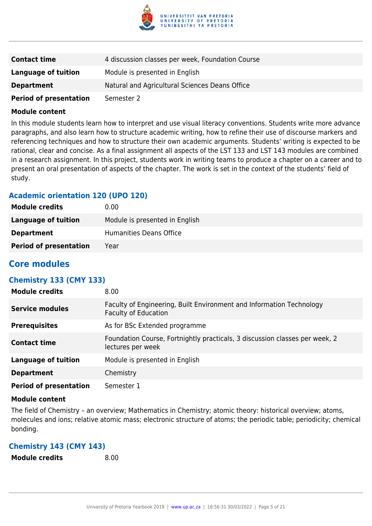

| <b>Contact time</b>           | 4 discussion classes per week, Foundation Course |
|-------------------------------|--------------------------------------------------|
| Language of tuition           | Module is presented in English                   |
| <b>Department</b>             | Natural and Agricultural Sciences Deans Office   |
| <b>Period of presentation</b> | Semester 2                                       |

In this module students learn how to interpret and use visual literacy conventions. Students write more advance paragraphs, and also learn how to structure academic writing, how to refine their use of discourse markers and referencing techniques and how to structure their own academic arguments. Students' writing is expected to be rational, clear and concise. As a final assignment all aspects of the LST 133 and LST 143 modules are combined in a research assignment. In this project, students work in writing teams to produce a chapter on a career and to present an oral presentation of aspects of the chapter. The work is set in the context of the students' field of study.

# **Academic orientation 120 (UPO 120)**

| <b>Module credits</b>         | 0.00                           |
|-------------------------------|--------------------------------|
| Language of tuition           | Module is presented in English |
| <b>Department</b>             | Humanities Deans Office        |
| <b>Period of presentation</b> | Year                           |

# **Core modules**

# **Chemistry 133 (CMY 133)**

| <b>Module credits</b>         | 8.00                                                                                                |
|-------------------------------|-----------------------------------------------------------------------------------------------------|
| <b>Service modules</b>        | Faculty of Engineering, Built Environment and Information Technology<br><b>Faculty of Education</b> |
| <b>Prerequisites</b>          | As for BSc Extended programme                                                                       |
| <b>Contact time</b>           | Foundation Course, Fortnightly practicals, 3 discussion classes per week, 2<br>lectures per week    |
| <b>Language of tuition</b>    | Module is presented in English                                                                      |
| <b>Department</b>             | Chemistry                                                                                           |
| <b>Period of presentation</b> | Semester 1                                                                                          |

#### **Module content**

The field of Chemistry – an overview; Mathematics in Chemistry; atomic theory: historical overview; atoms, molecules and ions; relative atomic mass; electronic structure of atoms; the periodic table; periodicity; chemical bonding.

# **Chemistry 143 (CMY 143)**

**Module credits** 8.00

University of Pretoria Yearbook 2019 | [www.up.ac.za](https://www.google.com/) | 16:56:31 30/03/2022 | Page 5 of 21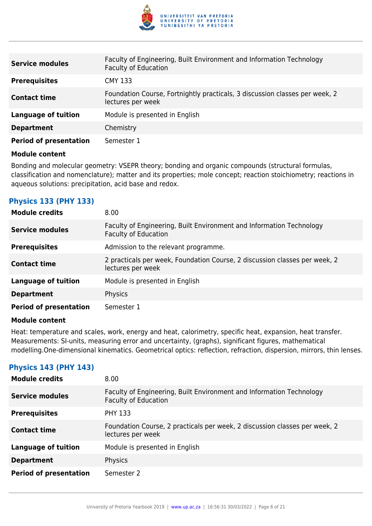

| <b>Service modules</b>        | Faculty of Engineering, Built Environment and Information Technology<br><b>Faculty of Education</b> |
|-------------------------------|-----------------------------------------------------------------------------------------------------|
| <b>Prerequisites</b>          | <b>CMY 133</b>                                                                                      |
| <b>Contact time</b>           | Foundation Course, Fortnightly practicals, 3 discussion classes per week, 2<br>lectures per week    |
| <b>Language of tuition</b>    | Module is presented in English                                                                      |
| <b>Department</b>             | Chemistry                                                                                           |
| <b>Period of presentation</b> | Semester 1                                                                                          |

Bonding and molecular geometry: VSEPR theory; bonding and organic compounds (structural formulas, classification and nomenclature); matter and its properties; mole concept; reaction stoichiometry; reactions in aqueous solutions: precipitation, acid base and redox.

# **Physics 133 (PHY 133)**

| <b>Module credits</b>         | 8.00                                                                                                |
|-------------------------------|-----------------------------------------------------------------------------------------------------|
| <b>Service modules</b>        | Faculty of Engineering, Built Environment and Information Technology<br><b>Faculty of Education</b> |
| <b>Prerequisites</b>          | Admission to the relevant programme.                                                                |
| <b>Contact time</b>           | 2 practicals per week, Foundation Course, 2 discussion classes per week, 2<br>lectures per week     |
| Language of tuition           | Module is presented in English                                                                      |
| <b>Department</b>             | Physics                                                                                             |
| <b>Period of presentation</b> | Semester 1                                                                                          |

#### **Module content**

Heat: temperature and scales, work, energy and heat, calorimetry, specific heat, expansion, heat transfer. Measurements: SI-units, measuring error and uncertainty, (graphs), significant figures, mathematical modelling.One-dimensional kinematics. Geometrical optics: reflection, refraction, dispersion, mirrors, thin lenses.

# **Physics 143 (PHY 143)**

| <b>Module credits</b>         | 8.00                                                                                                |
|-------------------------------|-----------------------------------------------------------------------------------------------------|
| Service modules               | Faculty of Engineering, Built Environment and Information Technology<br><b>Faculty of Education</b> |
| <b>Prerequisites</b>          | <b>PHY 133</b>                                                                                      |
| <b>Contact time</b>           | Foundation Course, 2 practicals per week, 2 discussion classes per week, 2<br>lectures per week     |
| <b>Language of tuition</b>    | Module is presented in English                                                                      |
| <b>Department</b>             | Physics                                                                                             |
| <b>Period of presentation</b> | Semester 2                                                                                          |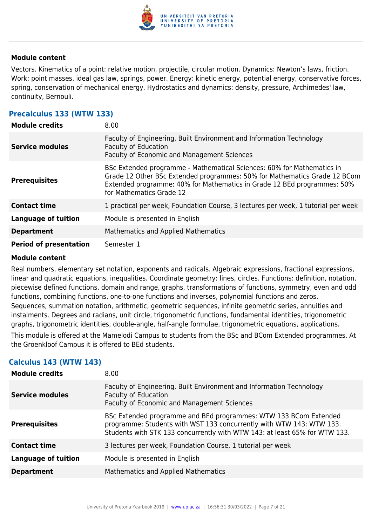

Vectors. Kinematics of a point: relative motion, projectile, circular motion. Dynamics: Newton's laws, friction. Work: point masses, ideal gas law, springs, power. Energy: kinetic energy, potential energy, conservative forces, spring, conservation of mechanical energy. Hydrostatics and dynamics: density, pressure, Archimedes' law, continuity, Bernouli.

### **Precalculus 133 (WTW 133)**

| <b>Module credits</b>         | 8.00                                                                                                                                                                                                                                                       |
|-------------------------------|------------------------------------------------------------------------------------------------------------------------------------------------------------------------------------------------------------------------------------------------------------|
| <b>Service modules</b>        | Faculty of Engineering, Built Environment and Information Technology<br><b>Faculty of Education</b><br>Faculty of Economic and Management Sciences                                                                                                         |
| <b>Prerequisites</b>          | BSc Extended programme - Mathematical Sciences: 60% for Mathematics in<br>Grade 12 Other BSc Extended programmes: 50% for Mathematics Grade 12 BCom<br>Extended programme: 40% for Mathematics in Grade 12 BEd programmes: 50%<br>for Mathematics Grade 12 |
| <b>Contact time</b>           | 1 practical per week, Foundation Course, 3 lectures per week, 1 tutorial per week                                                                                                                                                                          |
| <b>Language of tuition</b>    | Module is presented in English                                                                                                                                                                                                                             |
| <b>Department</b>             | Mathematics and Applied Mathematics                                                                                                                                                                                                                        |
| <b>Period of presentation</b> | Semester 1                                                                                                                                                                                                                                                 |

#### **Module content**

Real numbers, elementary set notation, exponents and radicals. Algebraic expressions, fractional expressions, linear and quadratic equations, inequalities. Coordinate geometry: lines, circles. Functions: definition, notation, piecewise defined functions, domain and range, graphs, transformations of functions, symmetry, even and odd functions, combining functions, one-to-one functions and inverses, polynomial functions and zeros. Sequences, summation notation, arithmetic, geometric sequences, infinite geometric series, annuities and instalments. Degrees and radians, unit circle, trigonometric functions, fundamental identities, trigonometric graphs, trigonometric identities, double-angle, half-angle formulae, trigonometric equations, applications.

This module is offered at the Mamelodi Campus to students from the BSc and BCom Extended programmes. At the Groenkloof Campus it is offered to BEd students.

# **Calculus 143 (WTW 143)**

| <b>Module credits</b>      | 8.00                                                                                                                                                                                                                   |
|----------------------------|------------------------------------------------------------------------------------------------------------------------------------------------------------------------------------------------------------------------|
| <b>Service modules</b>     | Faculty of Engineering, Built Environment and Information Technology<br><b>Faculty of Education</b><br>Faculty of Economic and Management Sciences                                                                     |
| <b>Prerequisites</b>       | BSc Extended programme and BEd programmes: WTW 133 BCom Extended<br>programme: Students with WST 133 concurrently with WTW 143: WTW 133.<br>Students with STK 133 concurrently with WTW 143: at least 65% for WTW 133. |
| <b>Contact time</b>        | 3 lectures per week, Foundation Course, 1 tutorial per week                                                                                                                                                            |
| <b>Language of tuition</b> | Module is presented in English                                                                                                                                                                                         |
| <b>Department</b>          | <b>Mathematics and Applied Mathematics</b>                                                                                                                                                                             |
|                            |                                                                                                                                                                                                                        |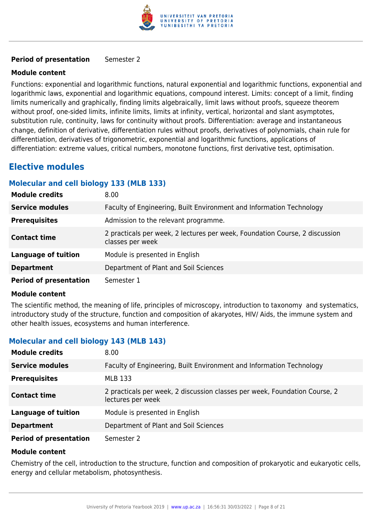

#### **Period of presentation** Semester 2

#### **Module content**

Functions: exponential and logarithmic functions, natural exponential and logarithmic functions, exponential and logarithmic laws, exponential and logarithmic equations, compound interest. Limits: concept of a limit, finding limits numerically and graphically, finding limits algebraically, limit laws without proofs, squeeze theorem without proof, one-sided limits, infinite limits, limits at infinity, vertical, horizontal and slant asymptotes, substitution rule, continuity, laws for continuity without proofs. Differentiation: average and instantaneous change, definition of derivative, differentiation rules without proofs, derivatives of polynomials, chain rule for differentiation, derivatives of trigonometric, exponential and logarithmic functions, applications of differentiation: extreme values, critical numbers, monotone functions, first derivative test, optimisation.

# **Elective modules**

### **Molecular and cell biology 133 (MLB 133)**

| <b>Module credits</b>         | 8.00                                                                                            |
|-------------------------------|-------------------------------------------------------------------------------------------------|
| <b>Service modules</b>        | Faculty of Engineering, Built Environment and Information Technology                            |
| <b>Prerequisites</b>          | Admission to the relevant programme.                                                            |
| <b>Contact time</b>           | 2 practicals per week, 2 lectures per week, Foundation Course, 2 discussion<br>classes per week |
| <b>Language of tuition</b>    | Module is presented in English                                                                  |
| <b>Department</b>             | Department of Plant and Soil Sciences                                                           |
| <b>Period of presentation</b> | Semester 1                                                                                      |

#### **Module content**

The scientific method, the meaning of life, principles of microscopy, introduction to taxonomy and systematics, introductory study of the structure, function and composition of akaryotes, HIV/ Aids, the immune system and other health issues, ecosystems and human interference.

# **Molecular and cell biology 143 (MLB 143)**

| <b>Module credits</b>         | 8.00                                                                                            |
|-------------------------------|-------------------------------------------------------------------------------------------------|
| <b>Service modules</b>        | Faculty of Engineering, Built Environment and Information Technology                            |
| <b>Prerequisites</b>          | <b>MLB 133</b>                                                                                  |
| <b>Contact time</b>           | 2 practicals per week, 2 discussion classes per week, Foundation Course, 2<br>lectures per week |
| <b>Language of tuition</b>    | Module is presented in English                                                                  |
| <b>Department</b>             | Department of Plant and Soil Sciences                                                           |
| <b>Period of presentation</b> | Semester 2                                                                                      |

#### **Module content**

Chemistry of the cell, introduction to the structure, function and composition of prokaryotic and eukaryotic cells, energy and cellular metabolism, photosynthesis.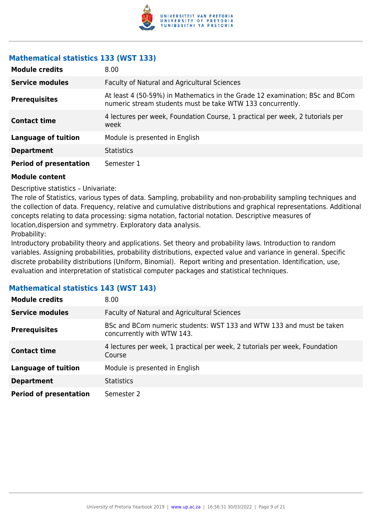

# **Mathematical statistics 133 (WST 133)**

| <b>Module credits</b>         | 8.00                                                                                                                                       |
|-------------------------------|--------------------------------------------------------------------------------------------------------------------------------------------|
| <b>Service modules</b>        | Faculty of Natural and Agricultural Sciences                                                                                               |
| <b>Prerequisites</b>          | At least 4 (50-59%) in Mathematics in the Grade 12 examination; BSc and BCom<br>numeric stream students must be take WTW 133 concurrently. |
| <b>Contact time</b>           | 4 lectures per week, Foundation Course, 1 practical per week, 2 tutorials per<br>week                                                      |
| Language of tuition           | Module is presented in English                                                                                                             |
| <b>Department</b>             | <b>Statistics</b>                                                                                                                          |
| <b>Period of presentation</b> | Semester 1                                                                                                                                 |

#### **Module content**

Descriptive statistics – Univariate:

The role of Statistics, various types of data. Sampling, probability and non-probability sampling techniques and the collection of data. Frequency, relative and cumulative distributions and graphical representations. Additional concepts relating to data processing: sigma notation, factorial notation. Descriptive measures of location,dispersion and symmetry. Exploratory data analysis. Probability:

Introductory probability theory and applications. Set theory and probability laws. Introduction to random variables. Assigning probabilities, probability distributions, expected value and variance in general. Specific discrete probability distributions (Uniform, Binomial). Report writing and presentation. Identification, use, evaluation and interpretation of statistical computer packages and statistical techniques.

# **Mathematical statistics 143 (WST 143)**

| <b>Module credits</b>         | 8.00                                                                                               |
|-------------------------------|----------------------------------------------------------------------------------------------------|
| <b>Service modules</b>        | Faculty of Natural and Agricultural Sciences                                                       |
| <b>Prerequisites</b>          | BSc and BCom numeric students: WST 133 and WTW 133 and must be taken<br>concurrently with WTW 143. |
| <b>Contact time</b>           | 4 lectures per week, 1 practical per week, 2 tutorials per week, Foundation<br>Course              |
| <b>Language of tuition</b>    | Module is presented in English                                                                     |
| <b>Department</b>             | <b>Statistics</b>                                                                                  |
| <b>Period of presentation</b> | Semester 2                                                                                         |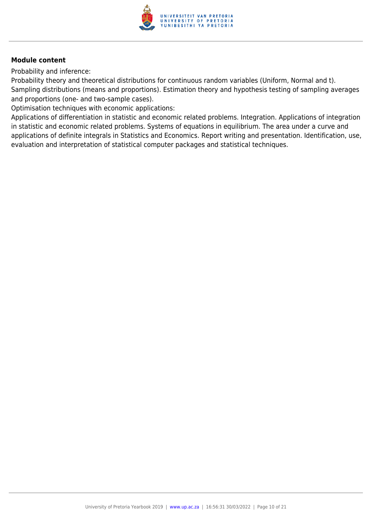

Probability and inference:

Probability theory and theoretical distributions for continuous random variables (Uniform, Normal and t). Sampling distributions (means and proportions). Estimation theory and hypothesis testing of sampling averages and proportions (one- and two-sample cases).

Optimisation techniques with economic applications:

Applications of differentiation in statistic and economic related problems. Integration. Applications of integration in statistic and economic related problems. Systems of equations in equilibrium. The area under a curve and applications of definite integrals in Statistics and Economics. Report writing and presentation. Identification, use, evaluation and interpretation of statistical computer packages and statistical techniques.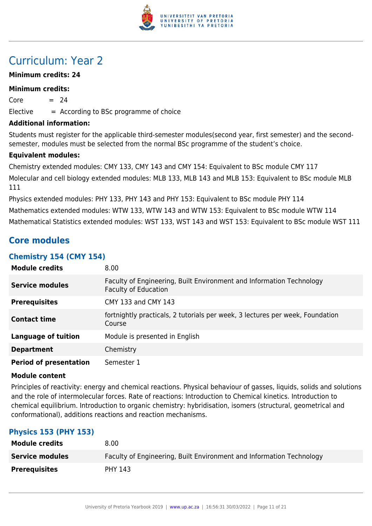

# Curriculum: Year 2

### **Minimum credits: 24**

#### **Minimum credits:**

 $Core = 24$  $E$ lective  $=$  According to BSc programme of choice

**Additional information:**

Students must register for the applicable third-semester modules(second year, first semester) and the secondsemester, modules must be selected from the normal BSc programme of the student's choice.

#### **Equivalent modules:**

Chemistry extended modules: CMY 133, CMY 143 and CMY 154: Equivalent to BSc module CMY 117 Molecular and cell biology extended modules: MLB 133, MLB 143 and MLB 153: Equivalent to BSc module MLB 111

Physics extended modules: PHY 133, PHY 143 and PHY 153: Equivalent to BSc module PHY 114 Mathematics extended modules: WTW 133, WTW 143 and WTW 153: Equivalent to BSc module WTW 114 Mathematical Statistics extended modules: WST 133, WST 143 and WST 153: Equivalent to BSc module WST 111

# **Core modules**

# **Chemistry 154 (CMY 154)**

| <b>Module credits</b>         | 8.00                                                                                                |
|-------------------------------|-----------------------------------------------------------------------------------------------------|
| <b>Service modules</b>        | Faculty of Engineering, Built Environment and Information Technology<br><b>Faculty of Education</b> |
| <b>Prerequisites</b>          | CMY 133 and CMY 143                                                                                 |
| <b>Contact time</b>           | fortnightly practicals, 2 tutorials per week, 3 lectures per week, Foundation<br>Course             |
| <b>Language of tuition</b>    | Module is presented in English                                                                      |
| <b>Department</b>             | Chemistry                                                                                           |
| <b>Period of presentation</b> | Semester 1                                                                                          |

#### **Module content**

Principles of reactivity: energy and chemical reactions. Physical behaviour of gasses, liquids, solids and solutions and the role of intermolecular forces. Rate of reactions: Introduction to Chemical kinetics. Introduction to chemical equilibrium. Introduction to organic chemistry: hybridisation, isomers (structural, geometrical and conformational), additions reactions and reaction mechanisms.

# **Physics 153 (PHY 153)**

| <b>Module credits</b>  | 8.00                                                                 |
|------------------------|----------------------------------------------------------------------|
| <b>Service modules</b> | Faculty of Engineering, Built Environment and Information Technology |
| <b>Prerequisites</b>   | <b>PHY 143</b>                                                       |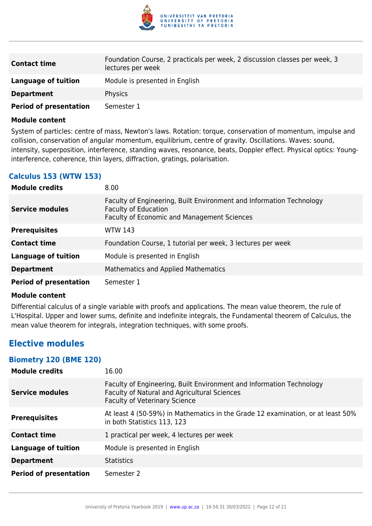

| <b>Contact time</b>           | Foundation Course, 2 practicals per week, 2 discussion classes per week, 3<br>lectures per week |
|-------------------------------|-------------------------------------------------------------------------------------------------|
| Language of tuition           | Module is presented in English                                                                  |
| <b>Department</b>             | <b>Physics</b>                                                                                  |
| <b>Period of presentation</b> | Semester 1                                                                                      |

System of particles: centre of mass, Newton's laws. Rotation: torque, conservation of momentum, impulse and collision, conservation of angular momentum, equilibrium, centre of gravity. Oscillations. Waves: sound, intensity, superposition, interference, standing waves, resonance, beats, Doppler effect. Physical optics: Younginterference, coherence, thin layers, diffraction, gratings, polarisation.

# **Calculus 153 (WTW 153)**

| <b>Module credits</b>         | 8.00                                                                                                                                               |
|-------------------------------|----------------------------------------------------------------------------------------------------------------------------------------------------|
| <b>Service modules</b>        | Faculty of Engineering, Built Environment and Information Technology<br><b>Faculty of Education</b><br>Faculty of Economic and Management Sciences |
| <b>Prerequisites</b>          | <b>WTW 143</b>                                                                                                                                     |
| <b>Contact time</b>           | Foundation Course, 1 tutorial per week, 3 lectures per week                                                                                        |
| <b>Language of tuition</b>    | Module is presented in English                                                                                                                     |
| <b>Department</b>             | <b>Mathematics and Applied Mathematics</b>                                                                                                         |
| <b>Period of presentation</b> | Semester 1                                                                                                                                         |

#### **Module content**

Differential calculus of a single variable with proofs and applications. The mean value theorem, the rule of L'Hospital. Upper and lower sums, definite and indefinite integrals, the Fundamental theorem of Calculus, the mean value theorem for integrals, integration techniques, with some proofs.

# **Elective modules**

#### **Biometry 120 (BME 120)**

| <b>Module credits</b>         | 16.00                                                                                                                                                        |
|-------------------------------|--------------------------------------------------------------------------------------------------------------------------------------------------------------|
| <b>Service modules</b>        | Faculty of Engineering, Built Environment and Information Technology<br>Faculty of Natural and Agricultural Sciences<br><b>Faculty of Veterinary Science</b> |
| <b>Prerequisites</b>          | At least 4 (50-59%) in Mathematics in the Grade 12 examination, or at least 50%<br>in both Statistics 113, 123                                               |
| <b>Contact time</b>           | 1 practical per week, 4 lectures per week                                                                                                                    |
| <b>Language of tuition</b>    | Module is presented in English                                                                                                                               |
| <b>Department</b>             | <b>Statistics</b>                                                                                                                                            |
| <b>Period of presentation</b> | Semester 2                                                                                                                                                   |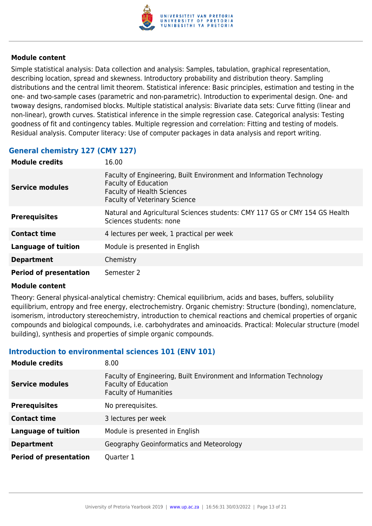

Simple statistical analysis: Data collection and analysis: Samples, tabulation, graphical representation, describing location, spread and skewness. Introductory probability and distribution theory. Sampling distributions and the central limit theorem. Statistical inference: Basic principles, estimation and testing in the one- and two-sample cases (parametric and non-parametric). Introduction to experimental design. One- and twoway designs, randomised blocks. Multiple statistical analysis: Bivariate data sets: Curve fitting (linear and non-linear), growth curves. Statistical inference in the simple regression case. Categorical analysis: Testing goodness of fit and contingency tables. Multiple regression and correlation: Fitting and testing of models. Residual analysis. Computer literacy: Use of computer packages in data analysis and report writing.

# **General chemistry 127 (CMY 127)**

| <b>Module credits</b>         | 16.00                                                                                                                                                                            |
|-------------------------------|----------------------------------------------------------------------------------------------------------------------------------------------------------------------------------|
| <b>Service modules</b>        | Faculty of Engineering, Built Environment and Information Technology<br><b>Faculty of Education</b><br><b>Faculty of Health Sciences</b><br><b>Faculty of Veterinary Science</b> |
| <b>Prerequisites</b>          | Natural and Agricultural Sciences students: CMY 117 GS or CMY 154 GS Health<br>Sciences students: none                                                                           |
| <b>Contact time</b>           | 4 lectures per week, 1 practical per week                                                                                                                                        |
| <b>Language of tuition</b>    | Module is presented in English                                                                                                                                                   |
| <b>Department</b>             | Chemistry                                                                                                                                                                        |
| <b>Period of presentation</b> | Semester 2                                                                                                                                                                       |

#### **Module content**

Theory: General physical-analytical chemistry: Chemical equilibrium, acids and bases, buffers, solubility equilibrium, entropy and free energy, electrochemistry. Organic chemistry: Structure (bonding), nomenclature, isomerism, introductory stereochemistry, introduction to chemical reactions and chemical properties of organic compounds and biological compounds, i.e. carbohydrates and aminoacids. Practical: Molecular structure (model building), synthesis and properties of simple organic compounds.

#### **Introduction to environmental sciences 101 (ENV 101)**

| <b>Module credits</b>         | 8.00                                                                                                                                |
|-------------------------------|-------------------------------------------------------------------------------------------------------------------------------------|
| <b>Service modules</b>        | Faculty of Engineering, Built Environment and Information Technology<br><b>Faculty of Education</b><br><b>Faculty of Humanities</b> |
| <b>Prerequisites</b>          | No prerequisites.                                                                                                                   |
| <b>Contact time</b>           | 3 lectures per week                                                                                                                 |
| <b>Language of tuition</b>    | Module is presented in English                                                                                                      |
| <b>Department</b>             | Geography Geoinformatics and Meteorology                                                                                            |
| <b>Period of presentation</b> | Quarter 1                                                                                                                           |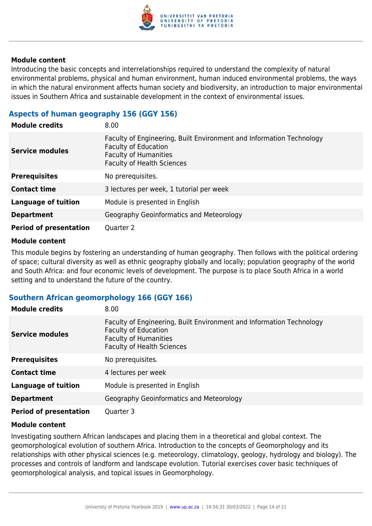

Introducing the basic concepts and interrelationships required to understand the complexity of natural environmental problems, physical and human environment, human induced environmental problems, the ways in which the natural environment affects human society and biodiversity, an introduction to major environmental issues in Southern Africa and sustainable development in the context of environmental issues.

# **Aspects of human geography 156 (GGY 156)**

| <b>Module credits</b>         | 8.00                                                                                                                                                                     |
|-------------------------------|--------------------------------------------------------------------------------------------------------------------------------------------------------------------------|
| <b>Service modules</b>        | Faculty of Engineering, Built Environment and Information Technology<br><b>Faculty of Education</b><br><b>Faculty of Humanities</b><br><b>Faculty of Health Sciences</b> |
| <b>Prerequisites</b>          | No prerequisites.                                                                                                                                                        |
| <b>Contact time</b>           | 3 lectures per week, 1 tutorial per week                                                                                                                                 |
| <b>Language of tuition</b>    | Module is presented in English                                                                                                                                           |
| <b>Department</b>             | Geography Geoinformatics and Meteorology                                                                                                                                 |
| <b>Period of presentation</b> | Quarter 2                                                                                                                                                                |

#### **Module content**

This module begins by fostering an understanding of human geography. Then follows with the political ordering of space; cultural diversity as well as ethnic geography globally and locally; population geography of the world and South Africa: and four economic levels of development. The purpose is to place South Africa in a world setting and to understand the future of the country.

# **Southern African geomorphology 166 (GGY 166)**

| <b>Module credits</b>         | 8.00                                                                                                                                                                     |
|-------------------------------|--------------------------------------------------------------------------------------------------------------------------------------------------------------------------|
| <b>Service modules</b>        | Faculty of Engineering, Built Environment and Information Technology<br><b>Faculty of Education</b><br><b>Faculty of Humanities</b><br><b>Faculty of Health Sciences</b> |
| <b>Prerequisites</b>          | No prerequisites.                                                                                                                                                        |
| <b>Contact time</b>           | 4 lectures per week                                                                                                                                                      |
| <b>Language of tuition</b>    | Module is presented in English                                                                                                                                           |
| <b>Department</b>             | Geography Geoinformatics and Meteorology                                                                                                                                 |
| <b>Period of presentation</b> | Quarter 3                                                                                                                                                                |

#### **Module content**

Investigating southern African landscapes and placing them in a theoretical and global context. The geomorphological evolution of southern Africa. Introduction to the concepts of Geomorphology and its relationships with other physical sciences (e.g. meteorology, climatology, geology, hydrology and biology). The processes and controls of landform and landscape evolution. Tutorial exercises cover basic techniques of geomorphological analysis, and topical issues in Geomorphology.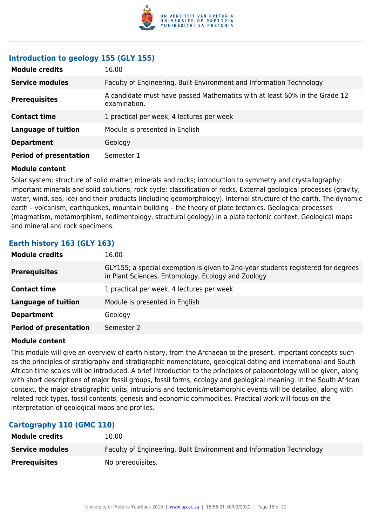

### **Introduction to geology 155 (GLY 155)**

| <b>Module credits</b>         | 16.00                                                                                      |
|-------------------------------|--------------------------------------------------------------------------------------------|
| <b>Service modules</b>        | Faculty of Engineering, Built Environment and Information Technology                       |
| <b>Prerequisites</b>          | A candidate must have passed Mathematics with at least 60% in the Grade 12<br>examination. |
| <b>Contact time</b>           | 1 practical per week, 4 lectures per week                                                  |
| <b>Language of tuition</b>    | Module is presented in English                                                             |
| <b>Department</b>             | Geology                                                                                    |
| <b>Period of presentation</b> | Semester 1                                                                                 |

#### **Module content**

Solar system; structure of solid matter; minerals and rocks; introduction to symmetry and crystallography; important minerals and solid solutions; rock cycle; classification of rocks. External geological processes (gravity, water, wind, sea, ice) and their products (including geomorphology). Internal structure of the earth. The dynamic earth – volcanism, earthquakes, mountain building – the theory of plate tectonics. Geological processes (magmatism, metamorphism, sedimentology, structural geology) in a plate tectonic context. Geological maps and mineral and rock specimens.

# **Earth history 163 (GLY 163)**

| <b>Module credits</b>         | 16.00                                                                                                                                  |
|-------------------------------|----------------------------------------------------------------------------------------------------------------------------------------|
| <b>Prerequisites</b>          | GLY155; a special exemption is given to 2nd-year students registered for degrees<br>in Plant Sciences, Entomology, Ecology and Zoology |
| <b>Contact time</b>           | 1 practical per week, 4 lectures per week                                                                                              |
| <b>Language of tuition</b>    | Module is presented in English                                                                                                         |
| <b>Department</b>             | Geology                                                                                                                                |
| <b>Period of presentation</b> | Semester 2                                                                                                                             |

#### **Module content**

This module will give an overview of earth history, from the Archaean to the present. Important concepts such as the principles of stratigraphy and stratigraphic nomenclature, geological dating and international and South African time scales will be introduced. A brief introduction to the principles of palaeontology will be given, along with short descriptions of major fossil groups, fossil forms, ecology and geological meaning. In the South African context, the major stratigraphic units, intrusions and tectonic/metamorphic events will be detailed, along with related rock types, fossil contents, genesis and economic commodities. Practical work will focus on the interpretation of geological maps and profiles.

#### **Cartography 110 (GMC 110)**

| <b>Module credits</b>  | 10.00                                                                |
|------------------------|----------------------------------------------------------------------|
| <b>Service modules</b> | Faculty of Engineering, Built Environment and Information Technology |
| <b>Prerequisites</b>   | No prerequisites.                                                    |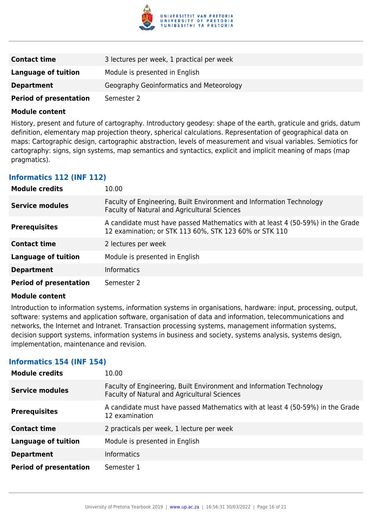

| <b>Contact time</b>           | 3 lectures per week, 1 practical per week |
|-------------------------------|-------------------------------------------|
| Language of tuition           | Module is presented in English            |
| <b>Department</b>             | Geography Geoinformatics and Meteorology  |
| <b>Period of presentation</b> | Semester 2                                |

History, present and future of cartography. Introductory geodesy: shape of the earth, graticule and grids, datum definition, elementary map projection theory, spherical calculations. Representation of geographical data on maps: Cartographic design, cartographic abstraction, levels of measurement and visual variables. Semiotics for cartography: signs, sign systems, map semantics and syntactics, explicit and implicit meaning of maps (map pragmatics).

### **Informatics 112 (INF 112)**

| <b>Module credits</b>         | 10.00                                                                                                                                    |
|-------------------------------|------------------------------------------------------------------------------------------------------------------------------------------|
| <b>Service modules</b>        | Faculty of Engineering, Built Environment and Information Technology<br>Faculty of Natural and Agricultural Sciences                     |
| <b>Prerequisites</b>          | A candidate must have passed Mathematics with at least 4 (50-59%) in the Grade<br>12 examination; or STK 113 60%, STK 123 60% or STK 110 |
| <b>Contact time</b>           | 2 lectures per week                                                                                                                      |
| <b>Language of tuition</b>    | Module is presented in English                                                                                                           |
| <b>Department</b>             | <b>Informatics</b>                                                                                                                       |
| <b>Period of presentation</b> | Semester 2                                                                                                                               |

#### **Module content**

Introduction to information systems, information systems in organisations, hardware: input, processing, output, software: systems and application software, organisation of data and information, telecommunications and networks, the Internet and Intranet. Transaction processing systems, management information systems, decision support systems, information systems in business and society, systems analysis, systems design, implementation, maintenance and revision.

#### **Informatics 154 (INF 154)**

| <b>Module credits</b>         | 10.00                                                                                                                |
|-------------------------------|----------------------------------------------------------------------------------------------------------------------|
| <b>Service modules</b>        | Faculty of Engineering, Built Environment and Information Technology<br>Faculty of Natural and Agricultural Sciences |
| <b>Prerequisites</b>          | A candidate must have passed Mathematics with at least 4 (50-59%) in the Grade<br>12 examination                     |
| <b>Contact time</b>           | 2 practicals per week, 1 lecture per week                                                                            |
| <b>Language of tuition</b>    | Module is presented in English                                                                                       |
| <b>Department</b>             | <b>Informatics</b>                                                                                                   |
| <b>Period of presentation</b> | Semester 1                                                                                                           |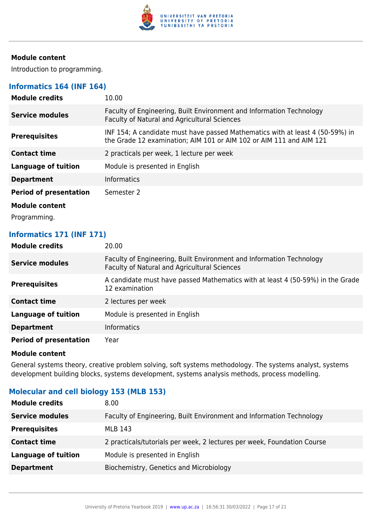

Introduction to programming.

# **Informatics 164 (INF 164)**

| <b>Module credits</b>         | 10.00                                                                                                                                                |
|-------------------------------|------------------------------------------------------------------------------------------------------------------------------------------------------|
| <b>Service modules</b>        | Faculty of Engineering, Built Environment and Information Technology<br><b>Faculty of Natural and Agricultural Sciences</b>                          |
| <b>Prerequisites</b>          | INF 154; A candidate must have passed Mathematics with at least 4 (50-59%) in<br>the Grade 12 examination; AIM 101 or AIM 102 or AIM 111 and AIM 121 |
| <b>Contact time</b>           | 2 practicals per week, 1 lecture per week                                                                                                            |
| <b>Language of tuition</b>    | Module is presented in English                                                                                                                       |
| <b>Department</b>             | <b>Informatics</b>                                                                                                                                   |
| <b>Period of presentation</b> | Semester 2                                                                                                                                           |
| Module content                |                                                                                                                                                      |
| Programming.                  |                                                                                                                                                      |

### **Informatics 171 (INF 171)**

| <b>Module credits</b>         | 20.00                                                                                                                |
|-------------------------------|----------------------------------------------------------------------------------------------------------------------|
| <b>Service modules</b>        | Faculty of Engineering, Built Environment and Information Technology<br>Faculty of Natural and Agricultural Sciences |
| <b>Prerequisites</b>          | A candidate must have passed Mathematics with at least 4 (50-59%) in the Grade<br>12 examination                     |
| <b>Contact time</b>           | 2 lectures per week                                                                                                  |
| <b>Language of tuition</b>    | Module is presented in English                                                                                       |
| <b>Department</b>             | <b>Informatics</b>                                                                                                   |
| <b>Period of presentation</b> | Year                                                                                                                 |

#### **Module content**

General systems theory, creative problem solving, soft systems methodology. The systems analyst, systems development building blocks, systems development, systems analysis methods, process modelling.

# **Molecular and cell biology 153 (MLB 153)**

| <b>Module credits</b>      | 8.00                                                                    |
|----------------------------|-------------------------------------------------------------------------|
| <b>Service modules</b>     | Faculty of Engineering, Built Environment and Information Technology    |
| <b>Prerequisites</b>       | MLB 143                                                                 |
| <b>Contact time</b>        | 2 practicals/tutorials per week, 2 lectures per week, Foundation Course |
| <b>Language of tuition</b> | Module is presented in English                                          |
| <b>Department</b>          | Biochemistry, Genetics and Microbiology                                 |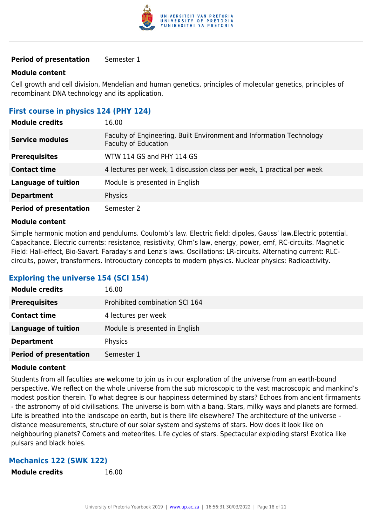

#### **Period of presentation** Semester 1

#### **Module content**

Cell growth and cell division, Mendelian and human genetics, principles of molecular genetics, principles of recombinant DNA technology and its application.

# **First course in physics 124 (PHY 124)**

| <b>Module credits</b>         | 16.00                                                                                               |
|-------------------------------|-----------------------------------------------------------------------------------------------------|
| <b>Service modules</b>        | Faculty of Engineering, Built Environment and Information Technology<br><b>Faculty of Education</b> |
| <b>Prerequisites</b>          | WTW 114 GS and PHY 114 GS                                                                           |
| <b>Contact time</b>           | 4 lectures per week, 1 discussion class per week, 1 practical per week                              |
| <b>Language of tuition</b>    | Module is presented in English                                                                      |
| <b>Department</b>             | Physics                                                                                             |
| <b>Period of presentation</b> | Semester 2                                                                                          |

#### **Module content**

Simple harmonic motion and pendulums. Coulomb's law. Electric field: dipoles, Gauss' law.Electric potential. Capacitance. Electric currents: resistance, resistivity, Ohm's law, energy, power, emf, RC-circuits. Magnetic Field: Hall-effect, Bio-Savart. Faraday's and Lenz's laws. Oscillations: LR-circuits. Alternating current: RLCcircuits, power, transformers. Introductory concepts to modern physics. Nuclear physics: Radioactivity.

# **Exploring the universe 154 (SCI 154)**

| <b>Module credits</b>         | 16.00                          |
|-------------------------------|--------------------------------|
| <b>Prerequisites</b>          | Prohibited combination SCI 164 |
| <b>Contact time</b>           | 4 lectures per week            |
| <b>Language of tuition</b>    | Module is presented in English |
| <b>Department</b>             | Physics                        |
| <b>Period of presentation</b> | Semester 1                     |

#### **Module content**

Students from all faculties are welcome to join us in our exploration of the universe from an earth-bound perspective. We reflect on the whole universe from the sub microscopic to the vast macroscopic and mankind's modest position therein. To what degree is our happiness determined by stars? Echoes from ancient firmaments - the astronomy of old civilisations. The universe is born with a bang. Stars, milky ways and planets are formed. Life is breathed into the landscape on earth, but is there life elsewhere? The architecture of the universe – distance measurements, structure of our solar system and systems of stars. How does it look like on neighbouring planets? Comets and meteorites. Life cycles of stars. Spectacular exploding stars! Exotica like pulsars and black holes.

#### **Mechanics 122 (SWK 122)**

**Module credits** 16.00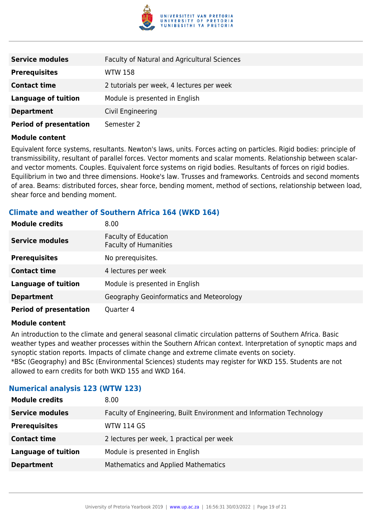

| <b>Service modules</b>        | Faculty of Natural and Agricultural Sciences |
|-------------------------------|----------------------------------------------|
| <b>Prerequisites</b>          | <b>WTW 158</b>                               |
| <b>Contact time</b>           | 2 tutorials per week, 4 lectures per week    |
| <b>Language of tuition</b>    | Module is presented in English               |
| <b>Department</b>             | Civil Engineering                            |
| <b>Period of presentation</b> | Semester 2                                   |

Equivalent force systems, resultants. Newton's laws, units. Forces acting on particles. Rigid bodies: principle of transmissibility, resultant of parallel forces. Vector moments and scalar moments. Relationship between scalarand vector moments. Couples. Equivalent force systems on rigid bodies. Resultants of forces on rigid bodies. Equilibrium in two and three dimensions. Hooke's law. Trusses and frameworks. Centroids and second moments of area. Beams: distributed forces, shear force, bending moment, method of sections, relationship between load, shear force and bending moment.

# **Climate and weather of Southern Africa 164 (WKD 164)**

| <b>Module credits</b>         | 8.00                                                        |
|-------------------------------|-------------------------------------------------------------|
| <b>Service modules</b>        | <b>Faculty of Education</b><br><b>Faculty of Humanities</b> |
| <b>Prerequisites</b>          | No prerequisites.                                           |
| <b>Contact time</b>           | 4 lectures per week                                         |
| <b>Language of tuition</b>    | Module is presented in English                              |
| <b>Department</b>             | Geography Geoinformatics and Meteorology                    |
| <b>Period of presentation</b> | Quarter 4                                                   |

#### **Module content**

An introduction to the climate and general seasonal climatic circulation patterns of Southern Africa. Basic weather types and weather processes within the Southern African context. Interpretation of synoptic maps and synoptic station reports. Impacts of climate change and extreme climate events on society. \*BSc (Geography) and BSc (Environmental Sciences) students may register for WKD 155. Students are not allowed to earn credits for both WKD 155 and WKD 164.

# **Numerical analysis 123 (WTW 123)**

| <b>Module credits</b>      | 8.00                                                                 |
|----------------------------|----------------------------------------------------------------------|
| <b>Service modules</b>     | Faculty of Engineering, Built Environment and Information Technology |
| <b>Prerequisites</b>       | <b>WTW 114 GS</b>                                                    |
| <b>Contact time</b>        | 2 lectures per week, 1 practical per week                            |
| <b>Language of tuition</b> | Module is presented in English                                       |
| <b>Department</b>          | <b>Mathematics and Applied Mathematics</b>                           |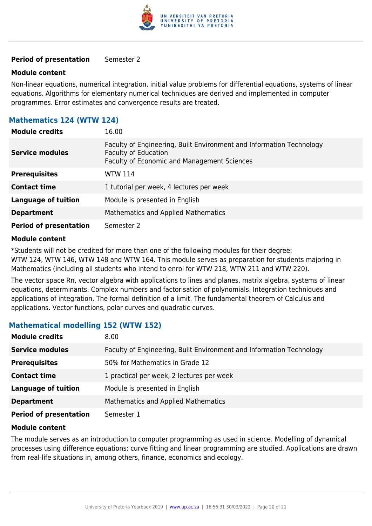

#### **Period of presentation** Semester 2

#### **Module content**

Non-linear equations, numerical integration, initial value problems for differential equations, systems of linear equations. Algorithms for elementary numerical techniques are derived and implemented in computer programmes. Error estimates and convergence results are treated.

# **Mathematics 124 (WTW 124)**

| <b>Module credits</b>         | 16.00                                                                                                                                                     |
|-------------------------------|-----------------------------------------------------------------------------------------------------------------------------------------------------------|
| <b>Service modules</b>        | Faculty of Engineering, Built Environment and Information Technology<br><b>Faculty of Education</b><br><b>Faculty of Economic and Management Sciences</b> |
| <b>Prerequisites</b>          | <b>WTW 114</b>                                                                                                                                            |
| <b>Contact time</b>           | 1 tutorial per week, 4 lectures per week                                                                                                                  |
| <b>Language of tuition</b>    | Module is presented in English                                                                                                                            |
| <b>Department</b>             | Mathematics and Applied Mathematics                                                                                                                       |
| <b>Period of presentation</b> | Semester 2                                                                                                                                                |

#### **Module content**

\*Students will not be credited for more than one of the following modules for their degree: WTW 124, WTW 146, WTW 148 and WTW 164. This module serves as preparation for students majoring in Mathematics (including all students who intend to enrol for WTW 218, WTW 211 and WTW 220).

The vector space Rn, vector algebra with applications to lines and planes, matrix algebra, systems of linear equations, determinants. Complex numbers and factorisation of polynomials. Integration techniques and applications of integration. The formal definition of a limit. The fundamental theorem of Calculus and applications. Vector functions, polar curves and quadratic curves.

#### **Mathematical modelling 152 (WTW 152)**

| <b>Module credits</b>         | 8.00                                                                 |
|-------------------------------|----------------------------------------------------------------------|
| <b>Service modules</b>        | Faculty of Engineering, Built Environment and Information Technology |
| <b>Prerequisites</b>          | 50% for Mathematics in Grade 12                                      |
| <b>Contact time</b>           | 1 practical per week, 2 lectures per week                            |
| <b>Language of tuition</b>    | Module is presented in English                                       |
| <b>Department</b>             | <b>Mathematics and Applied Mathematics</b>                           |
| <b>Period of presentation</b> | Semester 1                                                           |

#### **Module content**

The module serves as an introduction to computer programming as used in science. Modelling of dynamical processes using difference equations; curve fitting and linear programming are studied. Applications are drawn from real-life situations in, among others, finance, economics and ecology.